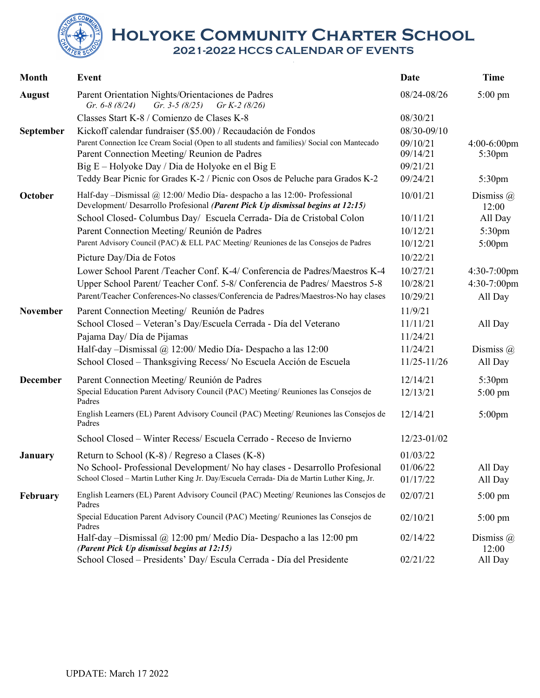**Holyoke Community Charter School 2021-2022 HCCS CALENDAR OF EVENTS**

| <b>Month</b>    | <b>Event</b>                                                                                                                                                 | Date            | <b>Time</b>               |
|-----------------|--------------------------------------------------------------------------------------------------------------------------------------------------------------|-----------------|---------------------------|
| <b>August</b>   | Parent Orientation Nights/Orientaciones de Padres<br>Gr. 3-5 $(8/25)$<br>Gr. $6-8(8/24)$<br>Gr K-2 $(8/26)$                                                  | 08/24-08/26     | 5:00 pm                   |
|                 | Classes Start K-8 / Comienzo de Clases K-8                                                                                                                   | 08/30/21        |                           |
| September       | Kickoff calendar fundraiser (\$5.00) / Recaudación de Fondos                                                                                                 | 08/30-09/10     |                           |
|                 | Parent Connection Ice Cream Social (Open to all students and families)/ Social con Mantecado                                                                 | 09/10/21        | $4:00-6:00$ pm            |
|                 | Parent Connection Meeting/Reunion de Padres                                                                                                                  | 09/14/21        | 5:30 <sub>pm</sub>        |
|                 | Big E – Holyoke Day / Dia de Holyoke en el Big E                                                                                                             | 09/21/21        |                           |
|                 | Teddy Bear Picnic for Grades K-2 / Picnic con Osos de Peluche para Grados K-2                                                                                | 09/24/21        | 5:30 <sub>pm</sub>        |
| October         | Half-day -Dismissal @ 12:00/ Medio Día- despacho a las 12:00- Professional<br>Development/ Desarrollo Profesional (Parent Pick Up dismissal begins at 12:15) | 10/01/21        | Dismiss $\omega$<br>12:00 |
|                 | School Closed- Columbus Day/ Escuela Cerrada- Día de Cristobal Colon                                                                                         | 10/11/21        | All Day                   |
|                 | Parent Connection Meeting/Reunión de Padres                                                                                                                  | 10/12/21        | 5:30pm                    |
|                 | Parent Advisory Council (PAC) & ELL PAC Meeting/ Reuniones de las Consejos de Padres                                                                         | 10/12/21        | $5:00$ pm                 |
|                 | Picture Day/Dia de Fotos                                                                                                                                     | 10/22/21        |                           |
|                 | Lower School Parent /Teacher Conf. K-4/ Conferencia de Padres/Maestros K-4                                                                                   | 10/27/21        | $4:30-7:00$ pm            |
|                 | Upper School Parent/ Teacher Conf. 5-8/ Conferencia de Padres/ Maestros 5-8                                                                                  | 10/28/21        | 4:30-7:00pm               |
|                 | Parent/Teacher Conferences-No classes/Conferencia de Padres/Maestros-No hay clases                                                                           | 10/29/21        | All Day                   |
| November        | Parent Connection Meeting/ Reunión de Padres                                                                                                                 | 11/9/21         |                           |
|                 | School Closed - Veteran's Day/Escuela Cerrada - Día del Veterano                                                                                             | 11/11/21        | All Day                   |
|                 | Pajama Day/ Día de Pijamas                                                                                                                                   | 11/24/21        |                           |
|                 | Half-day -Dismissal @ 12:00/ Medio Día- Despacho a las 12:00                                                                                                 | 11/24/21        | Dismiss $\omega$          |
|                 | School Closed - Thanksgiving Recess/ No Escuela Acción de Escuela                                                                                            | $11/25 - 11/26$ | All Day                   |
| <b>December</b> | Parent Connection Meeting/Reunión de Padres                                                                                                                  | 12/14/21        | 5:30pm                    |
|                 | Special Education Parent Advisory Council (PAC) Meeting/ Reuniones las Consejos de<br>Padres                                                                 | 12/13/21        | $5:00 \text{ pm}$         |
|                 | English Learners (EL) Parent Advisory Council (PAC) Meeting/ Reuniones las Consejos de<br>Padres                                                             | 12/14/21        | $5:00$ pm                 |
|                 | School Closed - Winter Recess/ Escuela Cerrado - Receso de Invierno                                                                                          | 12/23-01/02     |                           |
| January         | Return to School $(K-8)$ / Regreso a Clases $(K-8)$                                                                                                          | 01/03/22        |                           |
|                 | No School- Professional Development/ No hay clases - Desarrollo Profesional                                                                                  | 01/06/22        | All Day                   |
|                 | School Closed - Martin Luther King Jr. Day/Escuela Cerrada- Día de Martin Luther King, Jr.                                                                   | 01/17/22        | All Day                   |
| <b>February</b> | English Learners (EL) Parent Advisory Council (PAC) Meeting/Reuniones las Consejos de<br>Padres                                                              | 02/07/21        | $5:00 \text{ pm}$         |
|                 | Special Education Parent Advisory Council (PAC) Meeting/Reuniones las Consejos de<br>Padres                                                                  | 02/10/21        | $5:00 \text{ pm}$         |
|                 | Half-day -Dismissal $@$ 12:00 pm/ Medio Día- Despacho a las 12:00 pm<br>(Parent Pick Up dismissal begins at 12:15)                                           | 02/14/22        | Dismiss $\omega$<br>12:00 |
|                 | School Closed - Presidents' Day/ Escula Cerrada - Día del Presidente                                                                                         | 02/21/22        | All Day                   |